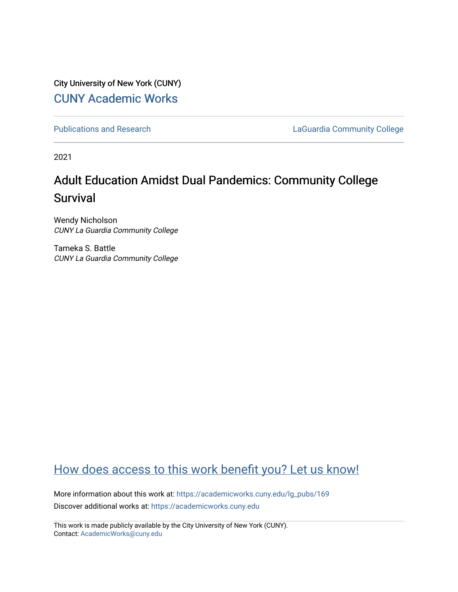City University of New York (CUNY) [CUNY Academic Works](https://academicworks.cuny.edu/) 

[Publications and Research](https://academicworks.cuny.edu/lg_pubs) **LaGuardia Community College** 

2021

## Adult Education Amidst Dual Pandemics: Community College Survival

Wendy Nicholson CUNY La Guardia Community College

Tameka S. Battle CUNY La Guardia Community College

## [How does access to this work benefit you? Let us know!](http://ols.cuny.edu/academicworks/?ref=https://academicworks.cuny.edu/lg_pubs/169)

More information about this work at: [https://academicworks.cuny.edu/lg\\_pubs/169](https://academicworks.cuny.edu/lg_pubs/169)  Discover additional works at: [https://academicworks.cuny.edu](https://academicworks.cuny.edu/?)

This work is made publicly available by the City University of New York (CUNY). Contact: [AcademicWorks@cuny.edu](mailto:AcademicWorks@cuny.edu)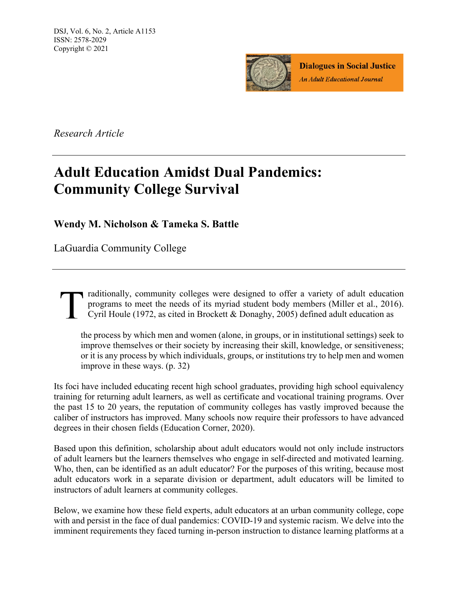

*Research Article*

# **Adult Education Amidst Dual Pandemics: Community College Survival**

**Wendy M. Nicholson & Tameka S. Battle**

LaGuardia Community College

raditionally, community colleges were designed to offer a variety of adult education programs to meet the needs of its myriad student body members (Miller et al., 2016). Cyril Houle (1972, as cited in Brockett & Donaghy, 2005) defined adult education as T

the process by which men and women (alone, in groups, or in institutional settings) seek to improve themselves or their society by increasing their skill, knowledge, or sensitiveness; or it is any process by which individuals, groups, or institutions try to help men and women improve in these ways. (p. 32)

Its foci have included educating recent high school graduates, providing high school equivalency training for returning adult learners, as well as certificate and vocational training programs. Over the past 15 to 20 years, the reputation of community colleges has vastly improved because the caliber of instructors has improved. Many schools now require their professors to have advanced degrees in their chosen fields (Education Corner, 2020).

Based upon this definition, scholarship about adult educators would not only include instructors of adult learners but the learners themselves who engage in self-directed and motivated learning. Who, then, can be identified as an adult educator? For the purposes of this writing, because most adult educators work in a separate division or department, adult educators will be limited to instructors of adult learners at community colleges.

Below, we examine how these field experts, adult educators at an urban community college, cope with and persist in the face of dual pandemics: COVID-19 and systemic racism. We delve into the imminent requirements they faced turning in-person instruction to distance learning platforms at a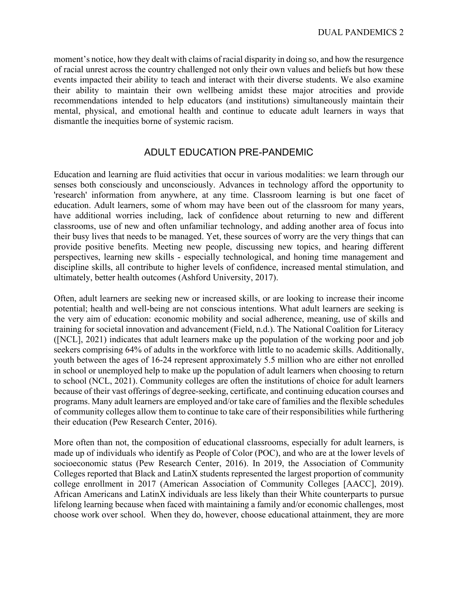moment's notice, how they dealt with claims of racial disparity in doing so, and how the resurgence of racial unrest across the country challenged not only their own values and beliefs but how these events impacted their ability to teach and interact with their diverse students. We also examine their ability to maintain their own wellbeing amidst these major atrocities and provide recommendations intended to help educators (and institutions) simultaneously maintain their mental, physical, and emotional health and continue to educate adult learners in ways that dismantle the inequities borne of systemic racism.

## ADULT EDUCATION PRE-PANDEMIC

Education and learning are fluid activities that occur in various modalities: we learn through our senses both consciously and unconsciously. Advances in technology afford the opportunity to 'research' information from anywhere, at any time. Classroom learning is but one facet of education. Adult learners, some of whom may have been out of the classroom for many years, have additional worries including, lack of confidence about returning to new and different classrooms, use of new and often unfamiliar technology, and adding another area of focus into their busy lives that needs to be managed. Yet, these sources of worry are the very things that can provide positive benefits. Meeting new people, discussing new topics, and hearing different perspectives, learning new skills - especially technological, and honing time management and discipline skills, all contribute to higher levels of confidence, increased mental stimulation, and ultimately, better health outcomes (Ashford University, 2017).

Often, adult learners are seeking new or increased skills, or are looking to increase their income potential; health and well-being are not conscious intentions. What adult learners are seeking is the very aim of education: economic mobility and social adherence, meaning, use of skills and training for societal innovation and advancement (Field, n.d.). The National Coalition for Literacy ([NCL], 2021) indicates that adult learners make up the population of the working poor and job seekers comprising 64% of adults in the workforce with little to no academic skills. Additionally, youth between the ages of 16-24 represent approximately 5.5 million who are either not enrolled in school or unemployed help to make up the population of adult learners when choosing to return to school (NCL, 2021). Community colleges are often the institutions of choice for adult learners because of their vast offerings of degree-seeking, certificate, and continuing education courses and programs. Many adult learners are employed and/or take care of families and the flexible schedules of community colleges allow them to continue to take care of their responsibilities while furthering their education (Pew Research Center, 2016).

More often than not, the composition of educational classrooms, especially for adult learners, is made up of individuals who identify as People of Color (POC), and who are at the lower levels of socioeconomic status (Pew Research Center, 2016). In 2019, the Association of Community Colleges reported that Black and LatinX students represented the largest proportion of community college enrollment in 2017 (American Association of Community Colleges [AACC], 2019). African Americans and LatinX individuals are less likely than their White counterparts to pursue lifelong learning because when faced with maintaining a family and/or economic challenges, most choose work over school. When they do, however, choose educational attainment, they are more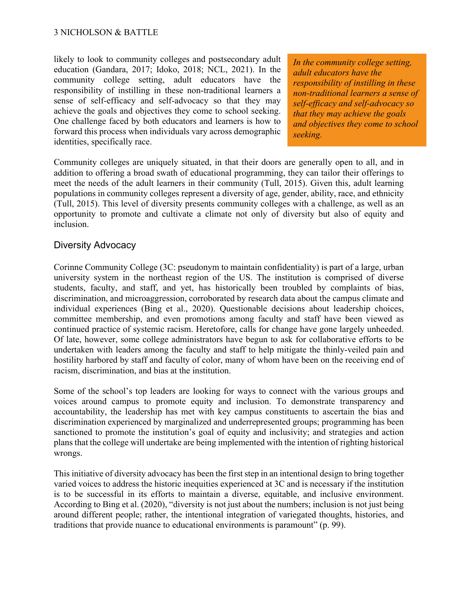likely to look to community colleges and postsecondary adult education (Gandara, 2017; Idoko, 2018; NCL, 2021). In the community college setting, adult educators have the responsibility of instilling in these non-traditional learners a sense of self-efficacy and self-advocacy so that they may achieve the goals and objectives they come to school seeking. One challenge faced by both educators and learners is how to forward this process when individuals vary across demographic identities, specifically race.

*In the community college setting, adult educators have the responsibility of instilling in these non-traditional learners a sense of self-efficacy and self-advocacy so that they may achieve the goals and objectives they come to school seeking.*

Community colleges are uniquely situated, in that their doors are generally open to all, and in addition to offering a broad swath of educational programming, they can tailor their offerings to meet the needs of the adult learners in their community (Tull, 2015). Given this, adult learning populations in community colleges represent a diversity of age, gender, ability, race, and ethnicity (Tull, 2015). This level of diversity presents community colleges with a challenge, as well as an opportunity to promote and cultivate a climate not only of diversity but also of equity and inclusion.

#### Diversity Advocacy

Corinne Community College (3C: pseudonym to maintain confidentiality) is part of a large, urban university system in the northeast region of the US. The institution is comprised of diverse students, faculty, and staff, and yet, has historically been troubled by complaints of bias, discrimination, and microaggression, corroborated by research data about the campus climate and individual experiences (Bing et al., 2020). Questionable decisions about leadership choices, committee membership, and even promotions among faculty and staff have been viewed as continued practice of systemic racism. Heretofore, calls for change have gone largely unheeded. Of late, however, some college administrators have begun to ask for collaborative efforts to be undertaken with leaders among the faculty and staff to help mitigate the thinly-veiled pain and hostility harbored by staff and faculty of color, many of whom have been on the receiving end of racism, discrimination, and bias at the institution.

Some of the school's top leaders are looking for ways to connect with the various groups and voices around campus to promote equity and inclusion. To demonstrate transparency and accountability, the leadership has met with key campus constituents to ascertain the bias and discrimination experienced by marginalized and underrepresented groups; programming has been sanctioned to promote the institution's goal of equity and inclusivity; and strategies and action plans that the college will undertake are being implemented with the intention of righting historical wrongs.

This initiative of diversity advocacy has been the first step in an intentional design to bring together varied voices to address the historic inequities experienced at 3C and is necessary if the institution is to be successful in its efforts to maintain a diverse, equitable, and inclusive environment. According to Bing et al. (2020), "diversity is not just about the numbers; inclusion is not just being around different people; rather, the intentional integration of variegated thoughts, histories, and traditions that provide nuance to educational environments is paramount" (p. 99).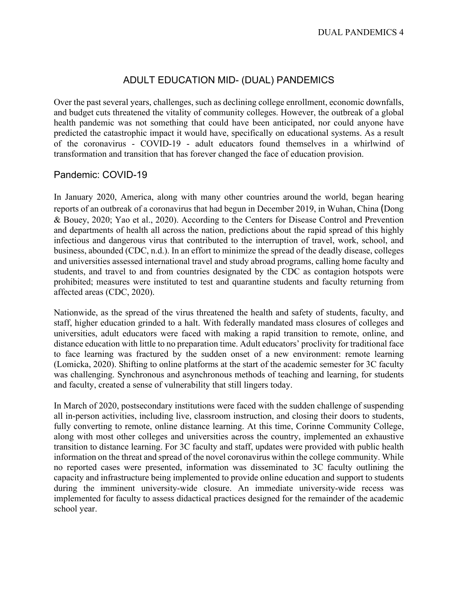## ADULT EDUCATION MID- (DUAL) PANDEMICS

Over the past several years, challenges, such as declining college enrollment, economic downfalls, and budget cuts threatened the vitality of community colleges. However, the outbreak of a global health pandemic was not something that could have been anticipated, nor could anyone have predicted the catastrophic impact it would have, specifically on educational systems. As a result of the coronavirus - COVID-19 - adult educators found themselves in a whirlwind of transformation and transition that has forever changed the face of education provision.

#### Pandemic: COVID-19

In January 2020, America, along with many other countries around the world, began hearing reports of an outbreak of a coronavirus that had begun in December 2019, in Wuhan, China (Dong & Bouey, 2020; Yao et al., 2020). According to the Centers for Disease Control and Prevention and departments of health all across the nation, predictions about the rapid spread of this highly infectious and dangerous virus that contributed to the interruption of travel, work, school, and business, abounded (CDC, n.d.). In an effort to minimize the spread of the deadly disease, colleges and universities assessed international travel and study abroad programs, calling home faculty and students, and travel to and from countries designated by the CDC as contagion hotspots were prohibited; measures were instituted to test and quarantine students and faculty returning from affected areas (CDC, 2020).

Nationwide, as the spread of the virus threatened the health and safety of students, faculty, and staff, higher education grinded to a halt. With federally mandated mass closures of colleges and universities, adult educators were faced with making a rapid transition to remote, online, and distance education with little to no preparation time. Adult educators' proclivity for traditional face to face learning was fractured by the sudden onset of a new environment: remote learning (Lomicka, 2020). Shifting to online platforms at the start of the academic semester for 3C faculty was challenging. Synchronous and asynchronous methods of teaching and learning, for students and faculty, created a sense of vulnerability that still lingers today.

In March of 2020, postsecondary institutions were faced with the sudden challenge of suspending all in-person activities, including live, classroom instruction, and closing their doors to students, fully converting to remote, online distance learning. At this time, Corinne Community College, along with most other colleges and universities across the country, implemented an exhaustive transition to distance learning. For 3C faculty and staff, updates were provided with public health information on the threat and spread of the novel coronavirus within the college community. While no reported cases were presented, information was disseminated to 3C faculty outlining the capacity and infrastructure being implemented to provide online education and support to students during the imminent university-wide closure. An immediate university-wide recess was implemented for faculty to assess didactical practices designed for the remainder of the academic school year.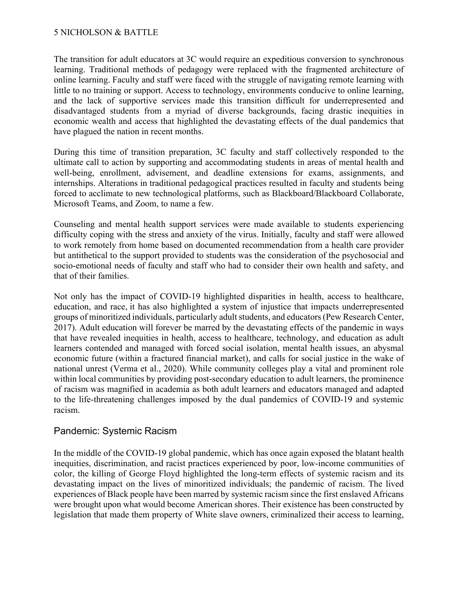#### 5 NICHOLSON & BATTLE

The transition for adult educators at 3C would require an expeditious conversion to synchronous learning. Traditional methods of pedagogy were replaced with the fragmented architecture of online learning. Faculty and staff were faced with the struggle of navigating remote learning with little to no training or support. Access to technology, environments conducive to online learning, and the lack of supportive services made this transition difficult for underrepresented and disadvantaged students from a myriad of diverse backgrounds, facing drastic inequities in economic wealth and access that highlighted the devastating effects of the dual pandemics that have plagued the nation in recent months.

During this time of transition preparation, 3C faculty and staff collectively responded to the ultimate call to action by supporting and accommodating students in areas of mental health and well-being, enrollment, advisement, and deadline extensions for exams, assignments, and internships. Alterations in traditional pedagogical practices resulted in faculty and students being forced to acclimate to new technological platforms, such as Blackboard/Blackboard Collaborate, Microsoft Teams, and Zoom, to name a few.

Counseling and mental health support services were made available to students experiencing difficulty coping with the stress and anxiety of the virus. Initially, faculty and staff were allowed to work remotely from home based on documented recommendation from a health care provider but antithetical to the support provided to students was the consideration of the psychosocial and socio-emotional needs of faculty and staff who had to consider their own health and safety, and that of their families.

Not only has the impact of COVID-19 highlighted disparities in health, access to healthcare, education, and race, it has also highlighted a system of injustice that impacts underrepresented groups of minoritized individuals, particularly adult students, and educators (Pew Research Center, 2017). Adult education will forever be marred by the devastating effects of the pandemic in ways that have revealed inequities in health, access to healthcare, technology, and education as adult learners contended and managed with forced social isolation, mental health issues, an abysmal economic future (within a fractured financial market), and calls for social justice in the wake of national unrest (Verma et al., 2020). While community colleges play a vital and prominent role within local communities by providing post-secondary education to adult learners, the prominence of racism was magnified in academia as both adult learners and educators managed and adapted to the life-threatening challenges imposed by the dual pandemics of COVID-19 and systemic racism.

## Pandemic: Systemic Racism

In the middle of the COVID-19 global pandemic, which has once again exposed the blatant health inequities, discrimination, and racist practices experienced by poor, low-income communities of color, the killing of George Floyd highlighted the long-term effects of systemic racism and its devastating impact on the lives of minoritized individuals; the pandemic of racism. The lived experiences of Black people have been marred by systemic racism since the first enslaved Africans were brought upon what would become American shores. Their existence has been constructed by legislation that made them property of White slave owners, criminalized their access to learning,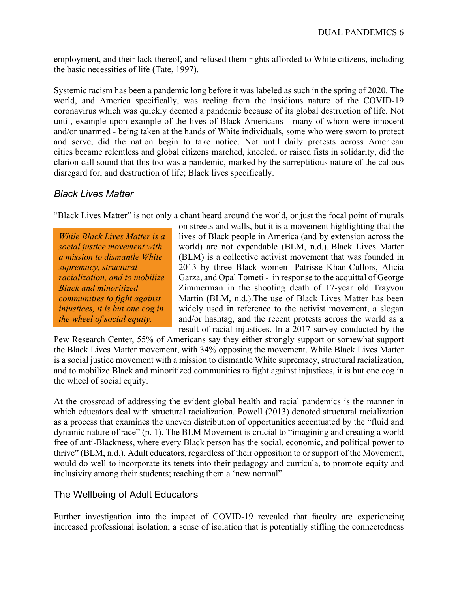employment, and their lack thereof, and refused them rights afforded to White citizens, including the basic necessities of life (Tate, 1997).

Systemic racism has been a pandemic long before it was labeled as such in the spring of 2020. The world, and America specifically, was reeling from the insidious nature of the COVID-19 coronavirus which was quickly deemed a pandemic because of its global destruction of life. Not until, example upon example of the lives of Black Americans - many of whom were innocent and/or unarmed - being taken at the hands of White individuals, some who were sworn to protect and serve, did the nation begin to take notice. Not until daily protests across American cities became relentless and global citizens marched, kneeled, or raised fists in solidarity, did the clarion call sound that this too was a pandemic, marked by the surreptitious nature of the callous disregard for, and destruction of life; Black lives specifically.

## *Black Lives Matter*

"Black Lives Matter" is not only a chant heard around the world, or just the focal point of murals

*While Black Lives Matter is a social justice movement with a mission to dismantle White supremacy, structural racialization, and to mobilize Black and minoritized communities to fight against injustices, it is but one cog in the wheel of social equity.*

on streets and walls, but it is a movement highlighting that the lives of Black people in America (and by extension across the world) are not expendable (BLM, n.d.). Black Lives Matter (BLM) is a collective activist movement that was founded in 2013 by three Black women -Patrisse Khan-Cullors, Alicia Garza, and Opal Tometi - in response to the acquittal of George Zimmerman in the shooting death of 17-year old Trayvon Martin (BLM, n.d.).The use of Black Lives Matter has been widely used in reference to the activist movement, a slogan and/or hashtag, and the recent protests across the world as a result of racial injustices. In a 2017 survey conducted by the

Pew Research Center, 55% of Americans say they either strongly support or somewhat support the Black Lives Matter movement, with 34% opposing the movement. While Black Lives Matter is a social justice movement with a mission to dismantle White supremacy, structural racialization, and to mobilize Black and minoritized communities to fight against injustices, it is but one cog in the wheel of social equity.

At the crossroad of addressing the evident global health and racial pandemics is the manner in which educators deal with structural racialization. Powell (2013) denoted structural racialization as a process that examines the uneven distribution of opportunities accentuated by the "fluid and dynamic nature of race" (p. 1). The BLM Movement is crucial to "imagining and creating a world free of anti-Blackness, where every Black person has the social, economic, and political power to thrive" (BLM, n.d.). Adult educators, regardless of their opposition to or support of the Movement, would do well to incorporate its tenets into their pedagogy and curricula, to promote equity and inclusivity among their students; teaching them a 'new normal".

## The Wellbeing of Adult Educators

Further investigation into the impact of COVID-19 revealed that faculty are experiencing increased professional isolation; a sense of isolation that is potentially stifling the connectedness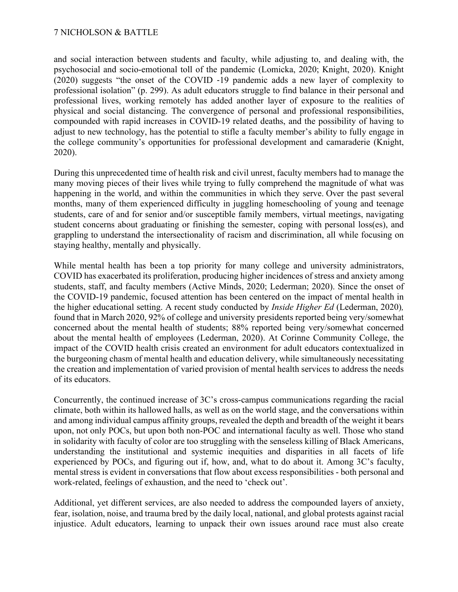and social interaction between students and faculty, while adjusting to, and dealing with, the psychosocial and socio-emotional toll of the pandemic (Lomicka, 2020; Knight, 2020). Knight (2020) suggests "the onset of the COVID ‐19 pandemic adds a new layer of complexity to professional isolation" (p. 299). As adult educators struggle to find balance in their personal and professional lives, working remotely has added another layer of exposure to the realities of physical and social distancing. The convergence of personal and professional responsibilities, compounded with rapid increases in COVID-19 related deaths, and the possibility of having to adjust to new technology, has the potential to stifle a faculty member's ability to fully engage in the college community's opportunities for professional development and camaraderie (Knight, 2020).

During this unprecedented time of health risk and civil unrest, faculty members had to manage the many moving pieces of their lives while trying to fully comprehend the magnitude of what was happening in the world, and within the communities in which they serve. Over the past several months, many of them experienced difficulty in juggling homeschooling of young and teenage students, care of and for senior and/or susceptible family members, virtual meetings, navigating student concerns about graduating or finishing the semester, coping with personal loss(es), and grappling to understand the intersectionality of racism and discrimination, all while focusing on staying healthy, mentally and physically.

While mental health has been a top priority for many college and university administrators, COVID has exacerbated its proliferation, producing higher incidences of stress and anxiety among students, staff, and faculty members (Active Minds, 2020; Lederman; 2020). Since the onset of the COVID-19 pandemic, focused attention has been centered on the impact of mental health in the higher educational setting. A recent study conducted by *Inside Higher Ed* (Lederman, 2020)*,* found that in March 2020, 92% of college and university presidents reported being very/somewhat concerned about the mental health of students; 88% reported being very/somewhat concerned about the mental health of employees (Lederman, 2020). At Corinne Community College, the impact of the COVID health crisis created an environment for adult educators contextualized in the burgeoning chasm of mental health and education delivery, while simultaneously necessitating the creation and implementation of varied provision of mental health services to address the needs of its educators.

Concurrently, the continued increase of 3C's cross-campus communications regarding the racial climate, both within its hallowed halls, as well as on the world stage, and the conversations within and among individual campus affinity groups, revealed the depth and breadth of the weight it bears upon, not only POCs, but upon both non-POC and international faculty as well. Those who stand in solidarity with faculty of color are too struggling with the senseless killing of Black Americans, understanding the institutional and systemic inequities and disparities in all facets of life experienced by POCs, and figuring out if, how, and, what to do about it. Among 3C's faculty, mental stress is evident in conversations that flow about excess responsibilities - both personal and work-related, feelings of exhaustion, and the need to 'check out'.

Additional, yet different services, are also needed to address the compounded layers of anxiety, fear, isolation, noise, and trauma bred by the daily local, national, and global protests against racial injustice. Adult educators, learning to unpack their own issues around race must also create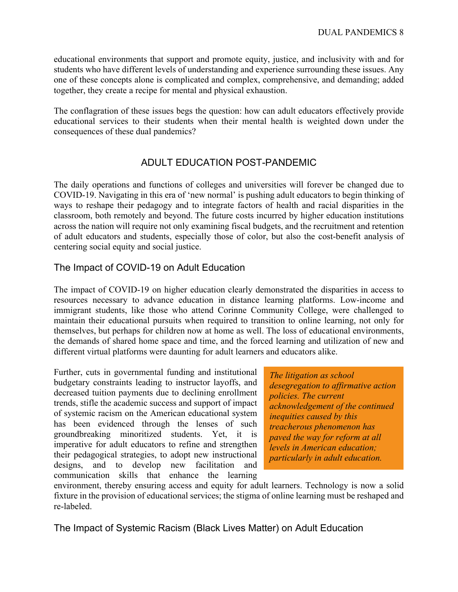educational environments that support and promote equity, justice, and inclusivity with and for students who have different levels of understanding and experience surrounding these issues. Any one of these concepts alone is complicated and complex, comprehensive, and demanding; added together, they create a recipe for mental and physical exhaustion.

The conflagration of these issues begs the question: how can adult educators effectively provide educational services to their students when their mental health is weighted down under the consequences of these dual pandemics?

## ADULT EDUCATION POST-PANDEMIC

The daily operations and functions of colleges and universities will forever be changed due to COVID-19. Navigating in this era of 'new normal' is pushing adult educators to begin thinking of ways to reshape their pedagogy and to integrate factors of health and racial disparities in the classroom, both remotely and beyond. The future costs incurred by higher education institutions across the nation will require not only examining fiscal budgets, and the recruitment and retention of adult educators and students, especially those of color, but also the cost-benefit analysis of centering social equity and social justice.

## The Impact of COVID-19 on Adult Education

The impact of COVID-19 on higher education clearly demonstrated the disparities in access to resources necessary to advance education in distance learning platforms. Low-income and immigrant students, like those who attend Corinne Community College, were challenged to maintain their educational pursuits when required to transition to online learning, not only for themselves, but perhaps for children now at home as well. The loss of educational environments, the demands of shared home space and time, and the forced learning and utilization of new and different virtual platforms were daunting for adult learners and educators alike.

Further, cuts in governmental funding and institutional budgetary constraints leading to instructor layoffs, and decreased tuition payments due to declining enrollment trends, stifle the academic success and support of impact of systemic racism on the American educational system has been evidenced through the lenses of such groundbreaking minoritized students. Yet, it is imperative for adult educators to refine and strengthen their pedagogical strategies, to adopt new instructional designs, and to develop new facilitation and communication skills that enhance the learning

*The litigation as school desegregation to affirmative action policies. The current acknowledgement of the continued inequities caused by this treacherous phenomenon has paved the way for reform at all levels in American education; particularly in adult education.*

environment, thereby ensuring access and equity for adult learners. Technology is now a solid fixture in the provision of educational services; the stigma of online learning must be reshaped and re-labeled.

The Impact of Systemic Racism (Black Lives Matter) on Adult Education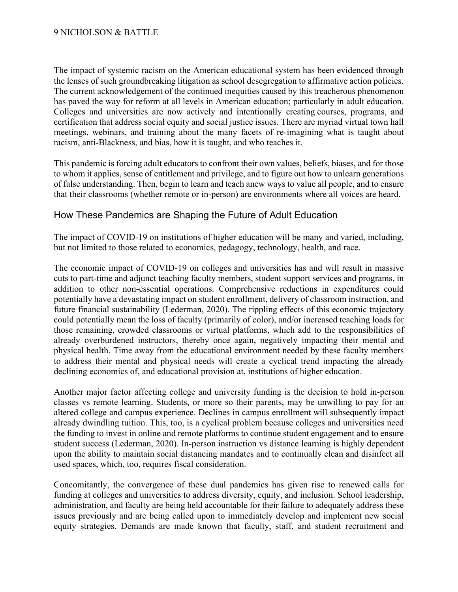The impact of systemic racism on the American educational system has been evidenced through the lenses of such groundbreaking litigation as school desegregation to affirmative action policies. The current acknowledgement of the continued inequities caused by this treacherous phenomenon has paved the way for reform at all levels in American education; particularly in adult education. Colleges and universities are now actively and intentionally creating courses, programs, and certification that address social equity and social justice issues. There are myriad virtual town hall meetings, webinars, and training about the many facets of re-imagining what is taught about racism, anti-Blackness, and bias, how it is taught, and who teaches it.

This pandemic is forcing adult educators to confront their own values, beliefs, biases, and for those to whom it applies, sense of entitlement and privilege, and to figure out how to unlearn generations of false understanding. Then, begin to learn and teach anew ways to value all people, and to ensure that their classrooms (whether remote or in-person) are environments where all voices are heard.

## How These Pandemics are Shaping the Future of Adult Education

The impact of COVID-19 on institutions of higher education will be many and varied, including, but not limited to those related to economics, pedagogy, technology, health, and race.

The economic impact of COVID-19 on colleges and universities has and will result in massive cuts to part-time and adjunct teaching faculty members, student support services and programs, in addition to other non-essential operations. Comprehensive reductions in expenditures could potentially have a devastating impact on student enrollment, delivery of classroom instruction, and future financial sustainability (Lederman, 2020). The rippling effects of this economic trajectory could potentially mean the loss of faculty (primarily of color), and/or increased teaching loads for those remaining, crowded classrooms or virtual platforms, which add to the responsibilities of already overburdened instructors, thereby once again, negatively impacting their mental and physical health. Time away from the educational environment needed by these faculty members to address their mental and physical needs will create a cyclical trend impacting the already declining economics of, and educational provision at, institutions of higher education.

Another major factor affecting college and university funding is the decision to hold in-person classes vs remote learning. Students, or more so their parents, may be unwilling to pay for an altered college and campus experience. Declines in campus enrollment will subsequently impact already dwindling tuition. This, too, is a cyclical problem because colleges and universities need the funding to invest in online and remote platforms to continue student engagement and to ensure student success (Lederman, 2020). In-person instruction vs distance learning is highly dependent upon the ability to maintain social distancing mandates and to continually clean and disinfect all used spaces, which, too, requires fiscal consideration.

Concomitantly, the convergence of these dual pandemics has given rise to renewed calls for funding at colleges and universities to address diversity, equity, and inclusion. School leadership, administration, and faculty are being held accountable for their failure to adequately address these issues previously and are being called upon to immediately develop and implement new social equity strategies. Demands are made known that faculty, staff, and student recruitment and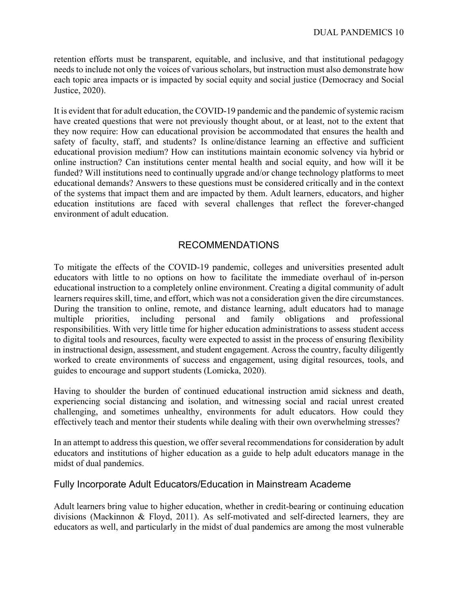retention efforts must be transparent, equitable, and inclusive, and that institutional pedagogy needs to include not only the voices of various scholars, but instruction must also demonstrate how each topic area impacts or is impacted by social equity and social justice (Democracy and Social Justice, 2020).

It is evident that for adult education, the COVID-19 pandemic and the pandemic of systemic racism have created questions that were not previously thought about, or at least, not to the extent that they now require: How can educational provision be accommodated that ensures the health and safety of faculty, staff, and students? Is online/distance learning an effective and sufficient educational provision medium? How can institutions maintain economic solvency via hybrid or online instruction? Can institutions center mental health and social equity, and how will it be funded? Will institutions need to continually upgrade and/or change technology platforms to meet educational demands? Answers to these questions must be considered critically and in the context of the systems that impact them and are impacted by them. Adult learners, educators, and higher education institutions are faced with several challenges that reflect the forever-changed environment of adult education.

#### RECOMMENDATIONS

To mitigate the effects of the COVID-19 pandemic, colleges and universities presented adult educators with little to no options on how to facilitate the immediate overhaul of in-person educational instruction to a completely online environment. Creating a digital community of adult learners requires skill, time, and effort, which was not a consideration given the dire circumstances. During the transition to online, remote, and distance learning, adult educators had to manage multiple priorities, including personal and family obligations and professional multiple priorities, including personal and family obligations and professional responsibilities. With very little time for higher education administrations to assess student access to digital tools and resources, faculty were expected to assist in the process of ensuring flexibility in instructional design, assessment, and student engagement. Across the country, faculty diligently worked to create environments of success and engagement, using digital resources, tools, and guides to encourage and support students (Lomicka, 2020).

Having to shoulder the burden of continued educational instruction amid sickness and death, experiencing social distancing and isolation, and witnessing social and racial unrest created challenging, and sometimes unhealthy, environments for adult educators. How could they effectively teach and mentor their students while dealing with their own overwhelming stresses?

In an attempt to address this question, we offer several recommendations for consideration by adult educators and institutions of higher education as a guide to help adult educators manage in the midst of dual pandemics.

#### Fully Incorporate Adult Educators/Education in Mainstream Academe

Adult learners bring value to higher education, whether in credit-bearing or continuing education divisions (Mackinnon & Floyd, 2011). As self-motivated and self-directed learners, they are educators as well, and particularly in the midst of dual pandemics are among the most vulnerable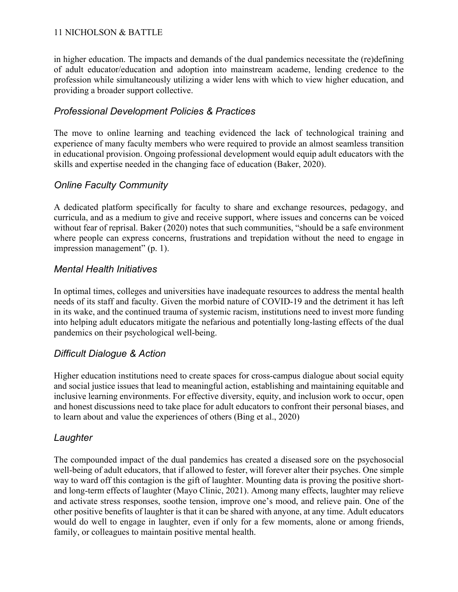#### 11 NICHOLSON & BATTLE

in higher education. The impacts and demands of the dual pandemics necessitate the (re)defining of adult educator/education and adoption into mainstream academe, lending credence to the profession while simultaneously utilizing a wider lens with which to view higher education, and providing a broader support collective.

## *Professional Development Policies & Practices*

The move to online learning and teaching evidenced the lack of technological training and experience of many faculty members who were required to provide an almost seamless transition in educational provision. Ongoing professional development would equip adult educators with the skills and expertise needed in the changing face of education (Baker, 2020).

## *Online Faculty Community*

A dedicated platform specifically for faculty to share and exchange resources, pedagogy, and curricula, and as a medium to give and receive support, where issues and concerns can be voiced without fear of reprisal. Baker (2020) notes that such communities, "should be a safe environment where people can express concerns, frustrations and trepidation without the need to engage in impression management" (p. 1).

## *Mental Health Initiatives*

In optimal times, colleges and universities have inadequate resources to address the mental health needs of its staff and faculty. Given the morbid nature of COVID-19 and the detriment it has left in its wake, and the continued trauma of systemic racism, institutions need to invest more funding into helping adult educators mitigate the nefarious and potentially long-lasting effects of the dual pandemics on their psychological well-being.

## *Difficult Dialogue & Action*

Higher education institutions need to create spaces for cross-campus dialogue about social equity and social justice issues that lead to meaningful action, establishing and maintaining equitable and inclusive learning environments. For effective diversity, equity, and inclusion work to occur, open and honest discussions need to take place for adult educators to confront their personal biases, and to learn about and value the experiences of others (Bing et al., 2020)

## *Laughter*

The compounded impact of the dual pandemics has created a diseased sore on the psychosocial well-being of adult educators, that if allowed to fester, will forever alter their psyches. One simple way to ward off this contagion is the gift of laughter. Mounting data is proving the positive shortand long-term effects of laughter (Mayo Clinic, 2021). Among many effects, laughter may relieve and activate stress responses, soothe tension, improve one's mood, and relieve pain. One of the other positive benefits of laughter is that it can be shared with anyone, at any time. Adult educators would do well to engage in laughter, even if only for a few moments, alone or among friends, family, or colleagues to maintain positive mental health.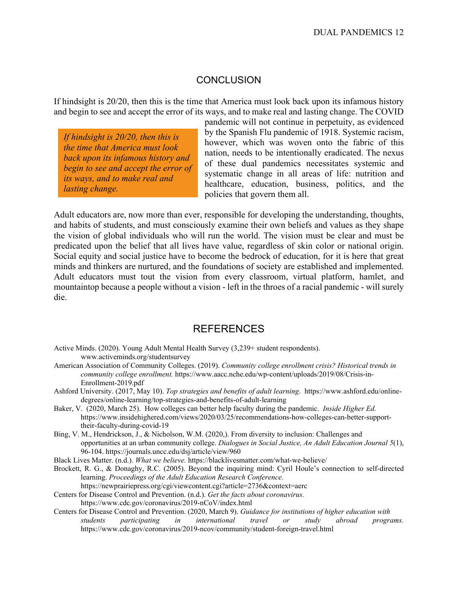#### **CONCLUSION**

If hindsight is 20/20, then this is the time that America must look back upon its infamous history and begin to see and accept the error of its ways, and to make real and lasting change. The COVID

*If hindsight is 20/20, then this is the time that America must look back upon its infamous history and begin to see and accept the error of its ways, and to make real and lasting change.*

pandemic will not continue in perpetuity, as evidenced by the Spanish Flu pandemic of 1918. Systemic racism, however, which was woven onto the fabric of this nation, needs to be intentionally eradicated. The nexus of these dual pandemics necessitates systemic and systematic change in all areas of life: nutrition and healthcare, education, business, politics, and the policies that govern them all.

Adult educators are, now more than ever, responsible for developing the understanding, thoughts, and habits of students, and must consciously examine their own beliefs and values as they shape the vision of global individuals who will run the world. The vision must be clear and must be predicated upon the belief that all lives have value, regardless of skin color or national origin. Social equity and social justice have to become the bedrock of education, for it is here that great minds and thinkers are nurtured, and the foundations of society are established and implemented. Adult educators must tout the vision from every classroom, virtual platform, hamlet, and mountaintop because a people without a vision - left in the throes of a racial pandemic - will surely die.

#### REFERENCES

- Active Minds. (2020). Young Adult Mental Health Survey (3,239+ student respondents). www.activeminds.org/studentsurvey
- American Association of Community Colleges. (2019). *Community college enrollment crisis? Historical trends in community college enrollment.* <https://www.aacc.nche.edu/wp-content/uploads/2019/08/Crisis-in->Enrollment-2019.pdf
- Ashford University. (2017, May 10). *Top strategies and benefits of adult learning*. [https://www.ashford.edu/online](https://www.ashford.edu/online-)degrees/online-learning/top-strategies-and-benefits-of-adult-learning
- Baker, V. (2020, March 25). How colleges can better help faculty during the pandemic. *Inside Higher Ed.*  [https://www.insidehighered.com/views/2020/03/25/recommendations-how-colleges-can-better-support](https://www.insidehighered.com/views/2020/03/25/recommendations-how-colleges-can-better-support-)their-faculty-during-covid-19
- Bing, V. M., Hendrickson, J., & Nicholson, W.M. (2020,). From diversity to inclusion: Challenges and opportunities at an urban community college. *Dialogues in Social Justice, An Adult Education Journal 5*(1), 96-104. https://journals.uncc.edu/dsj/article/view/960
- Black Lives Matter. (n.d.). *What we believe.* https://blacklivesmatter.com/what-we-believe/
- Brockett, R. G., & Donaghy, R.C. (2005). Beyond the inquiring mind: Cyril Houle's connection to self-directed learning. *Proceedings of the Adult Education Research Conference.* https://newprairiepress.org/cgi/viewcontent.cgi?article=2736&context=aerc
- Centers for Disease Control and Prevention. (n.d.). *Get the facts about coronavirus.*  https://www.cdc.gov/coronavirus/2019-nCoV/index.html
- Centers for Disease Control and Prevention. (2020, March 9). *Guidance for institutions of higher education with students participating in international travel or study abroad programs.*  https://www.cdc.gov/coronavirus/2019-ncov/community/student-foreign-travel.html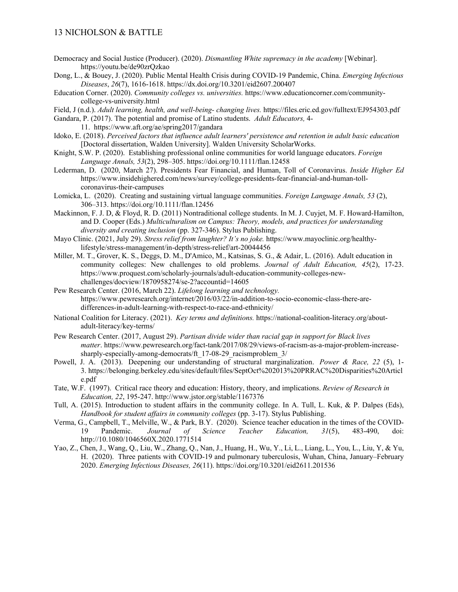#### 13 NICHOLSON & BATTLE

- Democracy and Social Justice (Producer). (2020). *Dismantling White supremacy in the academy* [Webinar]. https://youtu.be/de90zrQzkao
- Dong, L., & Bouey, J. (2020). Public Mental Health Crisis during COVID-19 Pandemic, China. *Emerging Infectious Diseases*, *26*(7), 1616-1618. https://dx.doi.org/10.3201/eid2607.200407
- Education Corner. (2020). *Community colleges vs. universities.* [https://www.educationcorner.com/community](https://www.educationcorner.com/community-)college-vs-university.html
- Field, J (n.d.). *Adult learning, health, and well-being- changing lives.* https://files.eric.ed.gov/fulltext/EJ954303.pdf
- Gandara, P. (2017). The potential and promise of Latino students. *Adult Educators,* 4- 11. <https://www.aft.org/ae/spring2017/gandara>
- Idoko, E. (2018). *Perceived factors that influence adult learners' persistence and retention in adult basic education* [Doctoral dissertation, Walden University]. Walden University ScholarWorks.
- Knight, S.W. P. (2020). Establishing professional online communities for world language educators. *Foreign Language Annals, 53*(2), 298–305. https://doi.org/10.1111/flan.12458
- Lederman, D. (2020, March 27). Presidents Fear Financial, and Human, Toll of Coronavirus. *Inside Higher Ed*  https://www.insidehighered.com/news/survey/college-presidents-fear-financial-and-human-tollcoronavirus-their-campuses
- Lomicka, L. (2020). Creating and sustaining virtual language communities. *Foreign Language Annals, 53* (2), 306–313. https://doi.org/10.1111/flan.12456
- Mackinnon, F. J. D, & Floyd, R. D. (2011) Nontraditional college students. In M. J. Cuyjet, M. F. Howard-Hamilton, and D. Cooper (Eds.) *Multiculturalism on Campus: Theory, models, and practices for understanding diversity and creating inclusion* (pp. 327-346). Stylus Publishing.
- Mayo Clinic. (2021, July 29). *Stress relief from laughter? It's no joke.* [https://www.mayoclinic.org/healthy](https://www.mayoclinic.org/healthy-)lifestyle/stress-management/in-depth/stress-relief/art-20044456
- Miller, M. T., Grover, K. S., Deggs, D. M., D'Amico, M., Katsinas, S. G., & Adair, L. (2016). Adult education in community colleges: New challenges to old problems. *Journal of Adult Education, 45*(2), 17-23. https://www.proquest.com/scholarly-journals/adult-education-community-colleges-newchallenges/docview/1870958274/se-2?accountid=14605
- Pew Research Center. (2016, March 22). *Lifelong learning and technology.*  [https://www.pewresearch.org/internet/2016/03/22/in-addition-to-socio-economic-class-there-are](https://www.pewresearch.org/internet/2016/03/22/in-addition-to-socio-economic-class-there-are-)differences-in-adult-learning-with-respect-to-race-and-ethnicity/
- National Coalition for Literacy. (2021). *Key terms and definitions.* https://national-coalition-literacy.org/aboutadult-literacy/key-terms/
- Pew Research Center. (2017, August 29). *Partisan divide wider than racial gap in support for Black lives matter*. https://www.pewresearch.org/fact-tank/2017/08/29/views-of-racism-as-a-major-problem-increasesharply-especially-among-democrats/ft\_17-08-29\_racismproblem\_3/
- Powell, J. A. (2013). Deepening our understanding of structural marginalization. *Power & Race, 22* (5), 1- 3. https://belonging.berkeley.edu/sites/default/files/SeptOct%202013%20PRRAC%20Disparities%20Articl e.pdf
- Tate, W.F. (1997). Critical race theory and education: History, theory, and implications. *Review of Research in Education, 22*, 195-247. http://www.jstor.org/stable/1167376
- Tull, A. (2015). Introduction to student affairs in the community college. In A. Tull, L. Kuk, & P. Dalpes (Eds), *Handbook for student affairs in community colleges* (pp. 3-17). Stylus Publishing.
- Verma, G., Campbell, T., Melville, W., & Park, B.Y. (2020). Science teacher education in the times of the COVID-19 Pandemic. *Journal of Science Teacher Education, 31*(5), 483-490, doi: http://10.1080/1046560X.2020.1771514
- Yao, Z., Chen, J., Wang, Q., Liu, W., Zhang, Q., Nan, J., Huang, H., Wu, Y., Li, L., Liang, L., You, L., Liu, Y, & Yu, H. (2020). Three patients with COVID-19 and pulmonary tuberculosis, Wuhan, China, January–February 2020. *Emerging Infectious Diseases, 26*(11).<https://doi.org/10.3201/eid2611.201536>